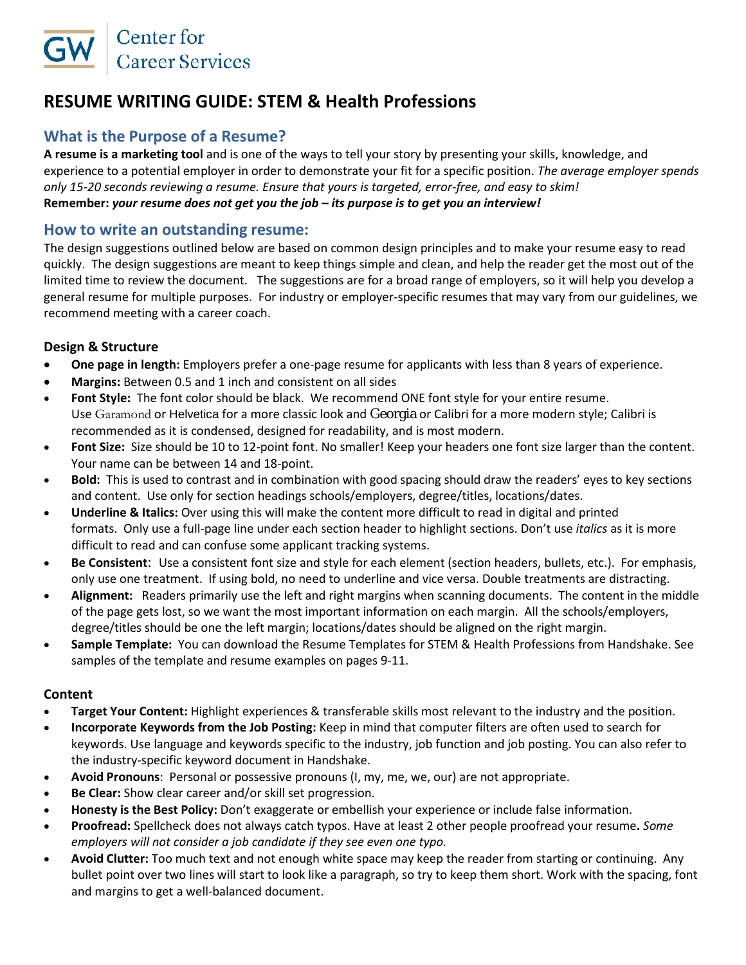# **RESUME WRITING GUIDE: STEM & Health Professions**

# **What is the Purpose of a Resume?**

**A resume is a marketing tool** and is one of the ways to tell your story by presenting your skills, knowledge, and experience to a potential employer in order to demonstrate your fit for a specific position. *The average employer spends only 15-20 seconds reviewing a resume. Ensure that yours is targeted, error-free, and easy to skim!* **Remember:** *your resume does not get you the job – its purpose is to get you an interview!*

# **How to write an outstanding resume:**

The design suggestions outlined below are based on common design principles and to make your resume easy to read quickly. The design suggestions are meant to keep things simple and clean, and help the reader get the most out of the limited time to review the document. The suggestions are for a broad range of employers, so it will help you develop a general resume for multiple purposes. For industry or employer-specific resumes that may vary from our guidelines, we recommend meeting with a career coach.

# **Design & Structure**

- **One page in length:** Employers prefer a one-page resume for applicants with less than 8 years of experience.
- **Margins:** Between 0.5 and 1 inch and consistent on all sides
- **Font Style:** The font color should be black. We recommend ONE font style for your entire resume. Use Garamond or Helvetica for a more classic look and Georgia or Calibri for a more modern style; Calibri is recommended as it is condensed, designed for readability, and is most modern.
- **Font Size:** Size should be 10 to 12-point font. No smaller! Keep your headers one font size larger than the content. Your name can be between 14 and 18-point.
- **Bold:** This is used to contrast and in combination with good spacing should draw the readers' eyes to key sections and content. Use only for section headings schools/employers, degree/titles, locations/dates.
- **Underline & Italics:** Over using this will make the content more difficult to read in digital and printed formats. Only use a full-page line under each section header to highlight sections. Don't use *italics* as it is more difficult to read and can confuse some applicant tracking systems.
- **Be Consistent**: Use a consistent font size and style for each element (section headers, bullets, etc.). For emphasis, only use one treatment. If using bold, no need to underline and vice versa. Double treatments are distracting.
- **Alignment:** Readers primarily use the left and right margins when scanning documents. The content in the middle of the page gets lost, so we want the most important information on each margin. All the schools/employers, degree/titles should be one the left margin; locations/dates should be aligned on the right margin.
- **Sample Template:** You can download the Resume Templates for STEM & Health Professions from Handshake. See samples of the template and resume examples on pages 9-11.

# **Content**

- **Target Your Content:** Highlight experiences & transferable skills most relevant to the industry and the position.
- **Incorporate Keywords from the Job Posting:** Keep in mind that computer filters are often used to search for keywords. Use language and keywords specific to the industry, job function and job posting. You can also refer to the industry-specific keyword document in Handshake.
- **Avoid Pronouns**: Personal or possessive pronouns (I, my, me, we, our) are not appropriate.
- **Be Clear:** Show clear career and/or skill set progression.
- **Honesty is the Best Policy:** Don't exaggerate or embellish your experience or include false information.
- **Proofread:** Spellcheck does not always catch typos. Have at least 2 other people proofread your resume**.** *Some employers will not consider a job candidate if they see even one typo.*
- **Avoid Clutter:** Too much text and not enough white space may keep the reader from starting or continuing. Any bullet point over two lines will start to look like a paragraph, so try to keep them short. Work with the spacing, font and margins to get a well-balanced document.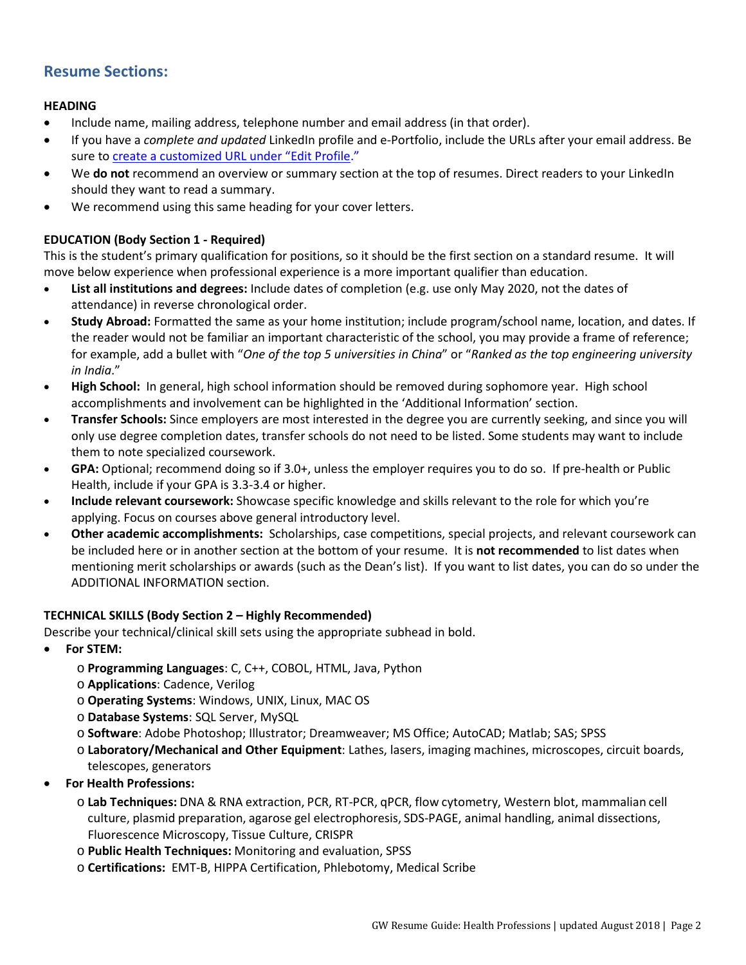# **Resume Sections:**

#### **HEADING**

- Include name, mailing address, telephone number and email address (in that order).
- If you have a *complete and updated* LinkedIn profile and e-Portfolio, include the URLs after your email address. Be sure to create a customized URL under "Edit Profile."
- We **do not** recommend an overview or summary section at the top of resumes. Direct readers to your LinkedIn should they want to read a summary.
- We recommend using this same heading for your cover letters.

# **EDUCATION (Body Section 1 - Required)**

This is the student's primary qualification for positions, so it should be the first section on a standard resume. It will move below experience when professional experience is a more important qualifier than education.

- **List all institutions and degrees:** Include dates of completion (e.g. use only May 2020, not the dates of attendance) in reverse chronological order.
- **Study Abroad:** Formatted the same as your home institution; include program/school name, location, and dates. If the reader would not be familiar an important characteristic of the school, you may provide a frame of reference; for example, add a bullet with "*One of the top 5 universities in China*" or "*Ranked as the top engineering university in India*."
- **High School:** In general, high school information should be removed during sophomore year. High school accomplishments and involvement can be highlighted in the 'Additional Information' section.
- **Transfer Schools:** Since employers are most interested in the degree you are currently seeking, and since you will only use degree completion dates, transfer schools do not need to be listed. Some students may want to include them to note specialized coursework.
- **GPA:** Optional; recommend doing so if 3.0+, unless the employer requires you to do so. If pre-health or Public Health, include if your GPA is 3.3-3.4 or higher.
- **Include relevant coursework:** Showcase specific knowledge and skills relevant to the role for which you're applying. Focus on courses above general introductory level.
- **Other academic accomplishments:** Scholarships, case competitions, special projects, and relevant coursework can be included here or in another section at the bottom of your resume. It is **not recommended** to list dates when mentioning merit scholarships or awards (such as the Dean's list). If you want to list dates, you can do so under the ADDITIONAL INFORMATION section.

#### **TECHNICAL SKILLS (Body Section 2 – Highly Recommended)**

Describe your technical/clinical skill sets using the appropriate subhead in bold.

- **For STEM:**
	- o **Programming Languages**: C, C++, COBOL, HTML, Java, Python
	- o **Applications**: Cadence, Verilog
	- o **Operating Systems**: Windows, UNIX, Linux, MAC OS
	- o **Database Systems**: SQL Server, MySQL
	- o **Software**: Adobe Photoshop; Illustrator; Dreamweaver; MS Office; AutoCAD; Matlab; SAS; SPSS
	- o **Laboratory/Mechanical and Other Equipment**: Lathes, lasers, imaging machines, microscopes, circuit boards, telescopes, generators
- **For Health Professions:**
	- o **Lab Techniques:** DNA & RNA extraction, PCR, RT-PCR, qPCR, flow cytometry, Western blot, mammalian cell culture, plasmid preparation, agarose gel electrophoresis, SDS-PAGE, animal handling, animal dissections, Fluorescence Microscopy, Tissue Culture, CRISPR
	- o **Public Health Techniques:** Monitoring and evaluation, SPSS
	- o **Certifications:** EMT-B, HIPPA Certification, Phlebotomy, Medical Scribe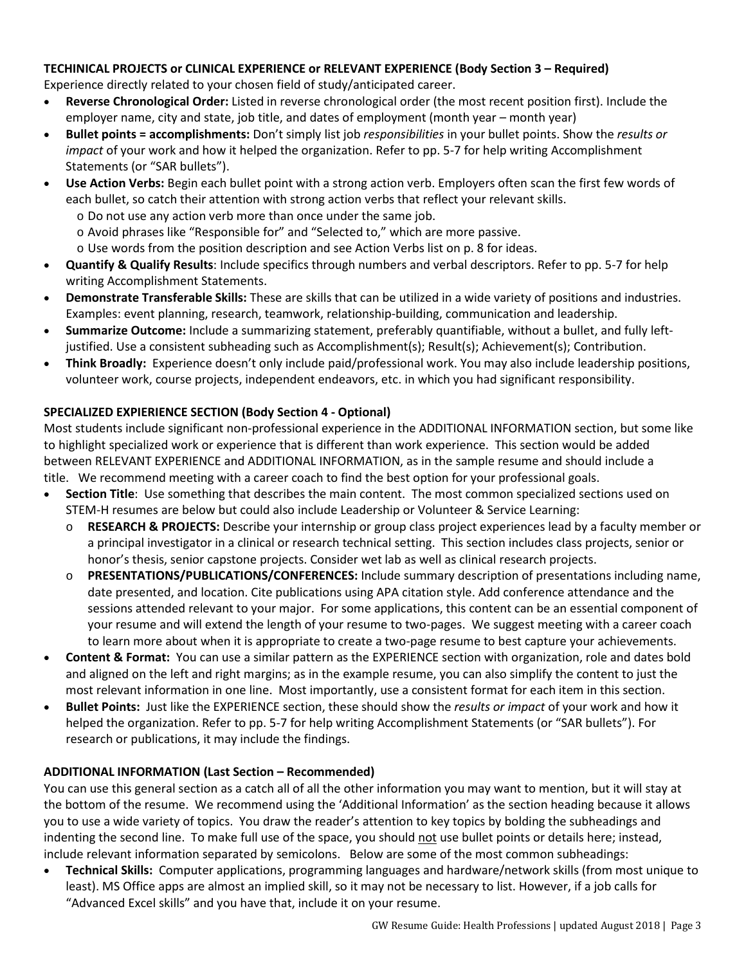# **TECHINICAL PROJECTS or CLINICAL EXPERIENCE or RELEVANT EXPERIENCE (Body Section 3 – Required)**

Experience directly related to your chosen field of study/anticipated career.

- **Reverse Chronological Order:** Listed in reverse chronological order (the most recent position first). Include the employer name, city and state, job title, and dates of employment (month year – month year)
- **Bullet points = accomplishments:** Don't simply list job *responsibilities* in your bullet points. Show the *results or impact* of your work and how it helped the organization. Refer to pp. 5-7 for help writing Accomplishment Statements (or "SAR bullets").
- **Use Action Verbs:** Begin each bullet point with a strong action verb. Employers often scan the first few words of each bullet, so catch their attention with strong action verbs that reflect your relevant skills.
	- o Do not use any action verb more than once under the same job.
	- o Avoid phrases like "Responsible for" and "Selected to," which are more passive.
	- o Use words from the position description and see Action Verbs list on p. 8 for ideas.
- **Quantify & Qualify Results**: Include specifics through numbers and verbal descriptors. Refer to pp. 5-7 for help writing Accomplishment Statements.
- **Demonstrate Transferable Skills:** These are skills that can be utilized in a wide variety of positions and industries. Examples: event planning, research, teamwork, relationship-building, communication and leadership.
- **Summarize Outcome:** Include a summarizing statement, preferably quantifiable, without a bullet, and fully leftjustified. Use a consistent subheading such as Accomplishment(s); Result(s); Achievement(s); Contribution.
- **Think Broadly:** Experience doesn't only include paid/professional work. You may also include leadership positions, volunteer work, course projects, independent endeavors, etc. in which you had significant responsibility.

# **SPECIALIZED EXPIERIENCE SECTION (Body Section 4 - Optional)**

Most students include significant non-professional experience in the ADDITIONAL INFORMATION section, but some like to highlight specialized work or experience that is different than work experience. This section would be added between RELEVANT EXPERIENCE and ADDITIONAL INFORMATION, as in the sample resume and should include a title. We recommend meeting with a career coach to find the best option for your professional goals.

- **Section Title**: Use something that describes the main content. The most common specialized sections used on STEM-H resumes are below but could also include Leadership or Volunteer & Service Learning:
	- o **RESEARCH & PROJECTS:** Describe your internship or group class project experiences lead by a faculty member or a principal investigator in a clinical or research technical setting. This section includes class projects, senior or honor's thesis, senior capstone projects. Consider wet lab as well as clinical research projects.
	- o **PRESENTATIONS/PUBLICATIONS/CONFERENCES:** Include summary description of presentations including name, date presented, and location. Cite publications using APA citation style. Add conference attendance and the sessions attended relevant to your major. For some applications, this content can be an essential component of your resume and will extend the length of your resume to two-pages. We suggest meeting with a career coach to learn more about when it is appropriate to create a two-page resume to best capture your achievements.
- **Content & Format:** You can use a similar pattern as the EXPERIENCE section with organization, role and dates bold and aligned on the left and right margins; as in the example resume, you can also simplify the content to just the most relevant information in one line. Most importantly, use a consistent format for each item in this section.
- **Bullet Points:** Just like the EXPERIENCE section, these should show the *results or impact* of your work and how it helped the organization. Refer to pp. 5-7 for help writing Accomplishment Statements (or "SAR bullets"). For research or publications, it may include the findings.

# **ADDITIONAL INFORMATION (Last Section – Recommended)**

You can use this general section as a catch all of all the other information you may want to mention, but it will stay at the bottom of the resume. We recommend using the 'Additional Information' as the section heading because it allows you to use a wide variety of topics. You draw the reader's attention to key topics by bolding the subheadings and indenting the second line. To make full use of the space, you should not use bullet points or details here; instead, include relevant information separated by semicolons. Below are some of the most common subheadings:

• **Technical Skills:** Computer applications, programming languages and hardware/network skills (from most unique to least). MS Office apps are almost an implied skill, so it may not be necessary to list. However, if a job calls for "Advanced Excel skills" and you have that, include it on your resume.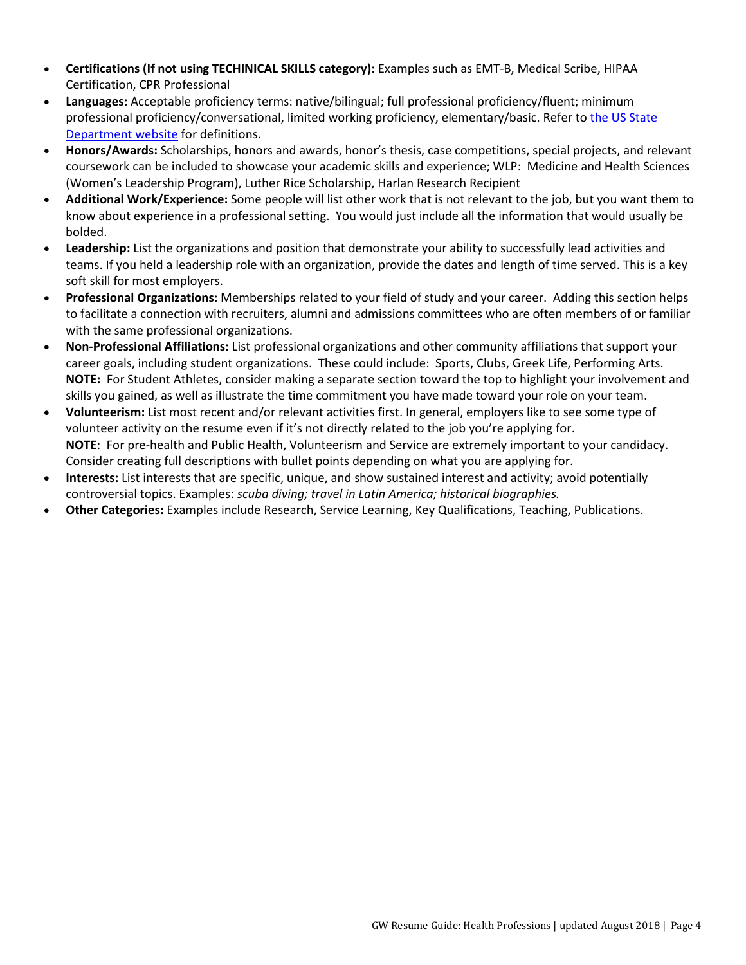- **Certifications (If not using TECHINICAL SKILLS category):** Examples such as EMT-B, Medical Scribe, HIPAA Certification, CPR Professional
- **Languages:** Acceptable proficiency terms: native/bilingual; full professional proficiency/fluent; minimum professional proficiency/conversational, limited working proficiency, elementary/basic. Refer to [the US State](https://careers.state.gov/gateway/lang_prof_def.html)  [Department website](https://careers.state.gov/gateway/lang_prof_def.html) for definitions.
- **Honors/Awards:** Scholarships, honors and awards, honor's thesis, case competitions, special projects, and relevant coursework can be included to showcase your academic skills and experience; WLP: Medicine and Health Sciences (Women's Leadership Program), Luther Rice Scholarship, Harlan Research Recipient
- **Additional Work/Experience:** Some people will list other work that is not relevant to the job, but you want them to know about experience in a professional setting. You would just include all the information that would usually be bolded.
- **Leadership:** List the organizations and position that demonstrate your ability to successfully lead activities and teams. If you held a leadership role with an organization, provide the dates and length of time served. This is a key soft skill for most employers.
- **Professional Organizations:** Memberships related to your field of study and your career. Adding this section helps to facilitate a connection with recruiters, alumni and admissions committees who are often members of or familiar with the same professional organizations.
- **Non-Professional Affiliations:** List professional organizations and other community affiliations that support your career goals, including student organizations. These could include: Sports, Clubs, Greek Life, Performing Arts. **NOTE:** For Student Athletes, consider making a separate section toward the top to highlight your involvement and skills you gained, as well as illustrate the time commitment you have made toward your role on your team.
- **Volunteerism:** List most recent and/or relevant activities first. In general, employers like to see some type of volunteer activity on the resume even if it's not directly related to the job you're applying for. **NOTE**: For pre-health and Public Health, Volunteerism and Service are extremely important to your candidacy. Consider creating full descriptions with bullet points depending on what you are applying for.
- **Interests:** List interests that are specific, unique, and show sustained interest and activity; avoid potentially controversial topics. Examples: *scuba diving; travel in Latin America; historical biographies.*
- **Other Categories:** Examples include Research, Service Learning, Key Qualifications, Teaching, Publications.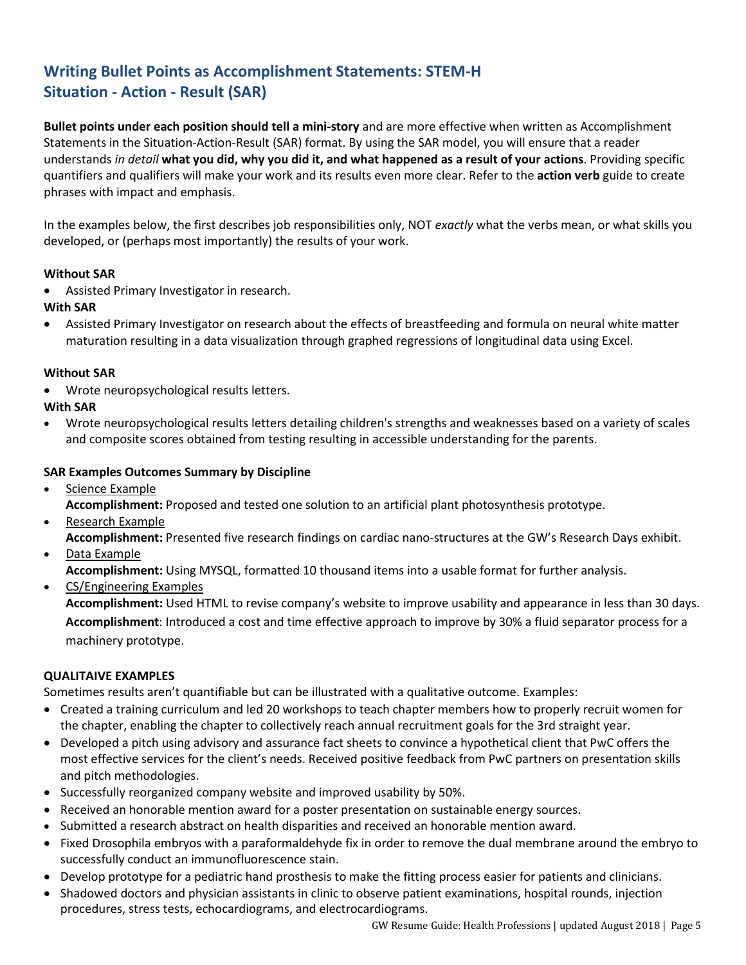# **Writing Bullet Points as Accomplishment Statements: STEM-H Situation - Action - Result (SAR)**

**Bullet points under each position should tell a mini-story** and are more effective when written as Accomplishment Statements in the Situation-Action-Result (SAR) format. By using the SAR model, you will ensure that a reader understands *in detail* **what you did, why you did it, and what happened as a result of your actions**. Providing specific quantifiers and qualifiers will make your work and its results even more clear. Refer to the **action verb** guide to create phrases with impact and emphasis.

In the examples below, the first describes job responsibilities only, NOT *exactly* what the verbs mean, or what skills you developed, or (perhaps most importantly) the results of your work.

# **Without SAR**

• Assisted Primary Investigator in research.

# **With SAR**

• Assisted Primary Investigator on research about the effects of breastfeeding and formula on neural white matter maturation resulting in a data visualization through graphed regressions of longitudinal data using Excel.

#### **Without SAR**

Wrote neuropsychological results letters.

# **With SAR**

• Wrote neuropsychological results letters detailing children's strengths and weaknesses based on a variety of scales and composite scores obtained from testing resulting in accessible understanding for the parents.

# **SAR Examples Outcomes Summary by Discipline**

- Science Example **Accomplishment:** Proposed and tested one solution to an artificial plant photosynthesis prototype.
- Research Example
	- **Accomplishment:** Presented five research findings on cardiac nano-structures at the GW's Research Days exhibit.
- Data Example

**Accomplishment:** Using MYSQL, formatted 10 thousand items into a usable format for further analysis.

• CS/Engineering Examples

**Accomplishment:** Used HTML to revise company's website to improve usability and appearance in less than 30 days. **Accomplishment**: Introduced a cost and time effective approach to improve by 30% a fluid separator process for a machinery prototype.

#### **QUALITAIVE EXAMPLES**

Sometimes results aren't quantifiable but can be illustrated with a qualitative outcome. Examples:

- Created a training curriculum and led 20 workshops to teach chapter members how to properly recruit women for the chapter, enabling the chapter to collectively reach annual recruitment goals for the 3rd straight year.
- Developed a pitch using advisory and assurance fact sheets to convince a hypothetical client that PwC offers the most effective services for the client's needs. Received positive feedback from PwC partners on presentation skills and pitch methodologies.
- Successfully reorganized company website and improved usability by 50%.
- Received an honorable mention award for a poster presentation on sustainable energy sources.
- Submitted a research abstract on health disparities and received an honorable mention award.
- Fixed Drosophila embryos with a paraformaldehyde fix in order to remove the dual membrane around the embryo to successfully conduct an immunofluorescence stain.
- Develop prototype for a pediatric hand prosthesis to make the fitting process easier for patients and clinicians.
- Shadowed doctors and physician assistants in clinic to observe patient examinations, hospital rounds, injection procedures, stress tests, echocardiograms, and electrocardiograms.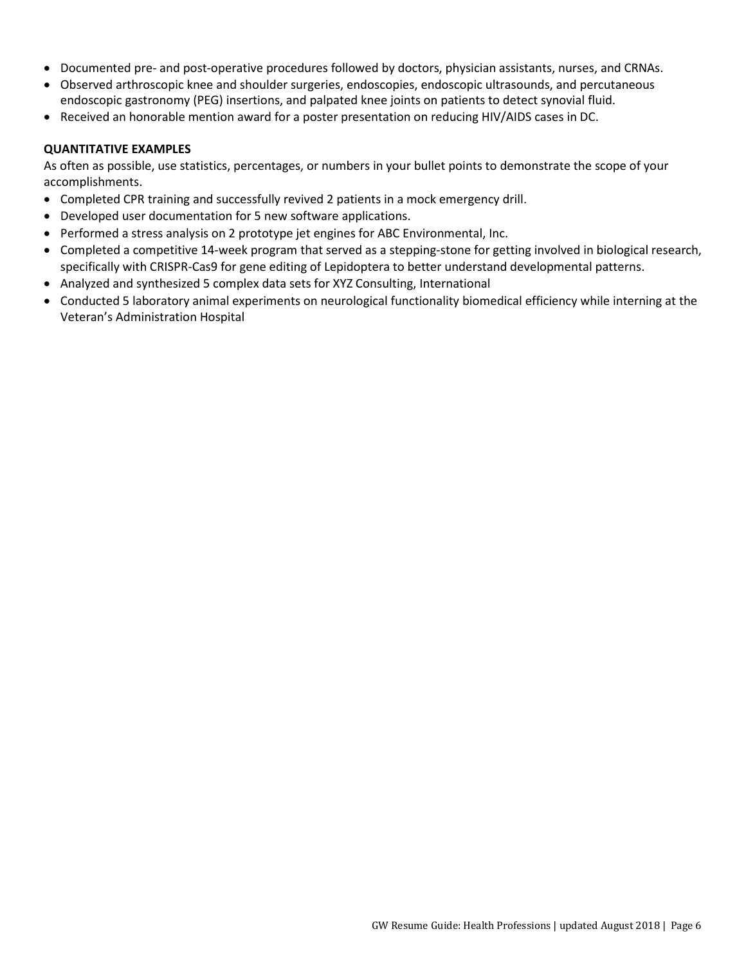- Documented pre- and post-operative procedures followed by doctors, physician assistants, nurses, and CRNAs.
- Observed arthroscopic knee and shoulder surgeries, endoscopies, endoscopic ultrasounds, and percutaneous endoscopic gastronomy (PEG) insertions, and palpated knee joints on patients to detect synovial fluid.
- Received an honorable mention award for a poster presentation on reducing HIV/AIDS cases in DC.

#### **QUANTITATIVE EXAMPLES**

As often as possible, use statistics, percentages, or numbers in your bullet points to demonstrate the scope of your accomplishments.

- Completed CPR training and successfully revived 2 patients in a mock emergency drill.
- Developed user documentation for 5 new software applications.
- Performed a stress analysis on 2 prototype jet engines for ABC Environmental, Inc.
- Completed a competitive 14-week program that served as a stepping-stone for getting involved in biological research, specifically with CRISPR-Cas9 for gene editing of Lepidoptera to better understand developmental patterns.
- Analyzed and synthesized 5 complex data sets for XYZ Consulting, International
- Conducted 5 laboratory animal experiments on neurological functionality biomedical efficiency while interning at the Veteran's Administration Hospital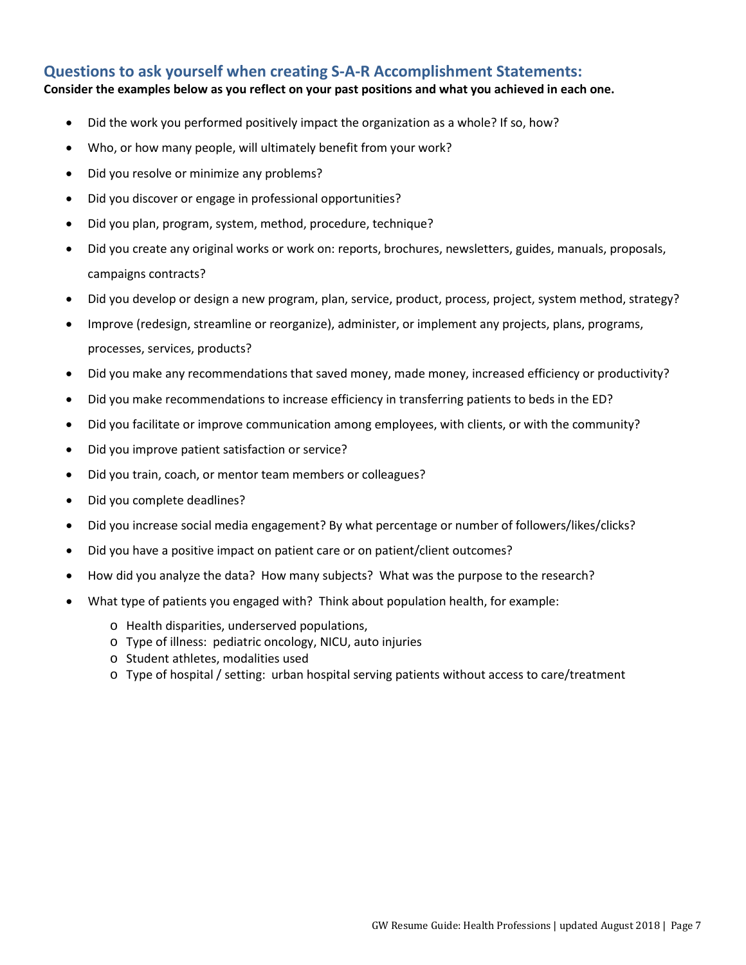# **Questions to ask yourself when creating S-A-R Accomplishment Statements:**

#### **Consider the examples below as you reflect on your past positions and what you achieved in each one.**

- Did the work you performed positively impact the organization as a whole? If so, how?
- Who, or how many people, will ultimately benefit from your work?
- Did you resolve or minimize any problems?
- Did you discover or engage in professional opportunities?
- Did you plan, program, system, method, procedure, technique?
- Did you create any original works or work on: reports, brochures, newsletters, guides, manuals, proposals, campaigns contracts?
- Did you develop or design a new program, plan, service, product, process, project, system method, strategy?
- Improve (redesign, streamline or reorganize), administer, or implement any projects, plans, programs, processes, services, products?
- Did you make any recommendations that saved money, made money, increased efficiency or productivity?
- Did you make recommendations to increase efficiency in transferring patients to beds in the ED?
- Did you facilitate or improve communication among employees, with clients, or with the community?
- Did you improve patient satisfaction or service?
- Did you train, coach, or mentor team members or colleagues?
- Did you complete deadlines?
- Did you increase social media engagement? By what percentage or number of followers/likes/clicks?
- Did you have a positive impact on patient care or on patient/client outcomes?
- How did you analyze the data? How many subjects? What was the purpose to the research?
- What type of patients you engaged with? Think about population health, for example:
	- o Health disparities, underserved populations,
	- o Type of illness: pediatric oncology, NICU, auto injuries
	- o Student athletes, modalities used
	- o Type of hospital / setting: urban hospital serving patients without access to care/treatment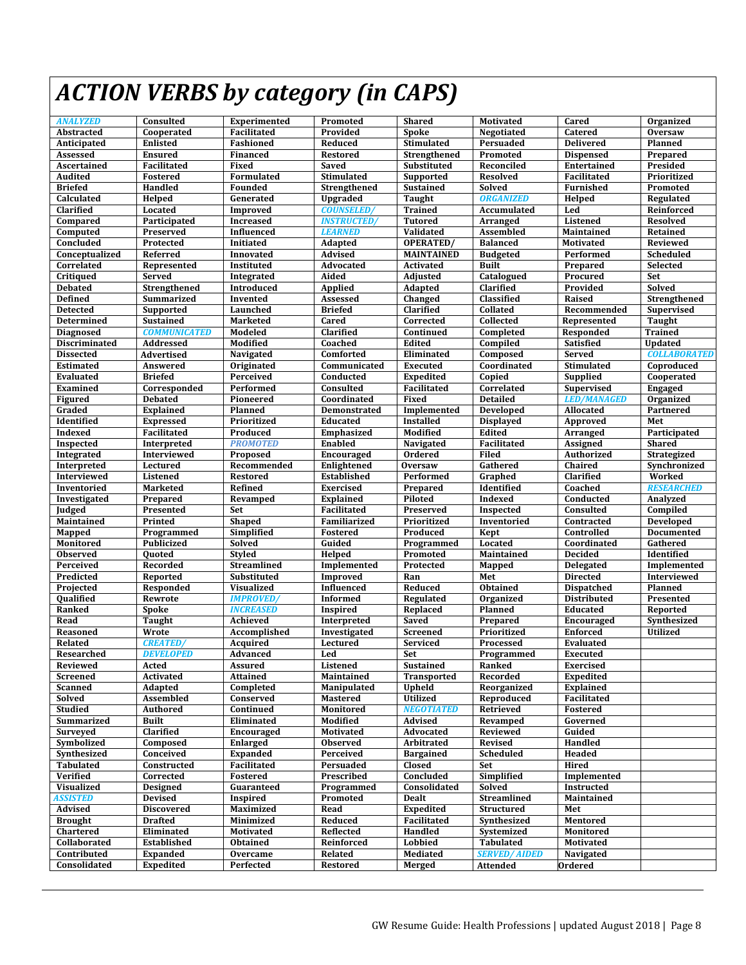# *ACTION VERBS by category (in CAPS)*

| <b>ANALYZED</b>      | Consulted           | Experimented       | Promoted           | <b>Shared</b>      | Motivated           | Cared              | Organized           |
|----------------------|---------------------|--------------------|--------------------|--------------------|---------------------|--------------------|---------------------|
| Abstracted           | Cooperated          | Facilitated        | Provided           | <b>Spoke</b>       | Negotiated          | <b>Catered</b>     | <b>Oversaw</b>      |
| Anticipated          | <b>Enlisted</b>     | Fashioned          | Reduced            | Stimulated         | Persuaded           | <b>Delivered</b>   | <b>Planned</b>      |
| Assessed             | <b>Ensured</b>      | <b>Financed</b>    | <b>Restored</b>    | Strengthened       | Promoted            | <b>Dispensed</b>   | Prepared            |
| Ascertained          | <b>Facilitated</b>  | Fixed              | Saved              | Substituted        | Reconciled          | <b>Entertained</b> | Presided            |
| Audited              | Fostered            | Formulated         | Stimulated         | Supported          | <b>Resolved</b>     | Facilitated        | Prioritized         |
| <b>Briefed</b>       | Handled             | Founded            | Strengthened       | <b>Sustained</b>   | <b>Solved</b>       | Furnished          | Promoted            |
| Calculated           | Helped              | Generated          | Upgraded           | Taught             | <b>ORGANIZED</b>    | Helped             | Regulated           |
| Clarified            | Located             | Improved           | <b>COUNSELED</b>   | <b>Trained</b>     | Accumulated         | Led                | Reinforced          |
| Compared             | Participated        | <b>Increased</b>   | <b>INSTRUCTED/</b> | <b>Tutored</b>     | <b>Arranged</b>     | Listened           | <b>Resolved</b>     |
| Computed             | Preserved           | Influenced         | <b>LEARNED</b>     | Validated          | <b>Assembled</b>    | Maintained         | Retained            |
| Concluded            | Protected           | Initiated          | <b>Adapted</b>     | <b>OPERATED/</b>   | <b>Balanced</b>     | <b>Motivated</b>   | <b>Reviewed</b>     |
| Conceptualized       | Referred            | <b>Innovated</b>   | <b>Advised</b>     | <b>MAINTAINED</b>  | <b>Budgeted</b>     | Performed          | Scheduled           |
| Correlated           | Represented         | Instituted         | Advocated          | <b>Activated</b>   | <b>Built</b>        | Prepared           | Selected            |
| Critiqued            | <b>Served</b>       | Integrated         | Aided              | Adjusted           | Catalogued          | Procured           | Set                 |
| <b>Debated</b>       | Strengthened        | Introduced         | <b>Applied</b>     | Adapted            | Clarified           | Provided           | Solved              |
| <b>Defined</b>       | <b>Summarized</b>   | Invented           | Assessed           | Changed            | Classified          | Raised             | Strengthened        |
| <b>Detected</b>      | Supported           | Launched           | <b>Briefed</b>     | Clarified          | Collated            | Recommended        | Supervised          |
| Determined           | <b>Sustained</b>    | <b>Marketed</b>    | Cared              | Corrected          | Collected           | Represented        | Taught              |
| <b>Diagnosed</b>     | <b>COMMUNICATED</b> | Modeled            | Clarified          | Continued          | Completed           | Responded          | <b>Trained</b>      |
| <b>Discriminated</b> | Addressed           | Modified           | Coached            | Edited             | Compiled            | <b>Satisfied</b>   | <b>Updated</b>      |
| <b>Dissected</b>     | Advertised          | Navigated          | Comforted          | Eliminated         | Composed            | <b>Served</b>      | <b>COLLABORATED</b> |
| <b>Estimated</b>     | Answered            | <b>Originated</b>  | Communicated       | <b>Executed</b>    | Coordinated         | Stimulated         | Coproduced          |
| <b>Evaluated</b>     | <b>Briefed</b>      | Perceived          | Conducted          | <b>Expedited</b>   | Copied              | <b>Supplied</b>    | Cooperated          |
| Examined             | Corresponded        | <b>Performed</b>   | Consulted          | <b>Facilitated</b> | Correlated          | <b>Supervised</b>  | <b>Engaged</b>      |
| <b>Figured</b>       | <b>Debated</b>      | Pioneered          | Coordinated        | <b>Fixed</b>       | <b>Detailed</b>     | <b>LED/MANAGED</b> | Organized           |
| Graded               | <b>Explained</b>    | Planned            | Demonstrated       | Implemented        | <b>Developed</b>    | Allocated          | Partnered           |
| Identified           | <b>Expressed</b>    | Prioritized        | <b>Educated</b>    | <b>Installed</b>   | <b>Displayed</b>    | Approved           | Met                 |
| Indexed              | Facilitated         | Produced           | <b>Emphasized</b>  | Modified           | Edited              | <b>Arranged</b>    | Participated        |
| Inspected            | Interpreted         | <b>PROMOTED</b>    | <b>Enabled</b>     | Navigated          | <b>Facilitated</b>  | Assigned           | <b>Shared</b>       |
| Integrated           | Interviewed         | Proposed           | <b>Encouraged</b>  | Ordered            | <b>Filed</b>        | Authorized         | Strategized         |
| Interpreted          | Lectured            | Recommended        | Enlightened        | <b>Oversaw</b>     | Gathered            | Chaired            | Synchronized        |
| Interviewed          | Listened            | <b>Restored</b>    | Established        | Performed          | Graphed             | Clarified          | Worked              |
| Inventoried          | <b>Marketed</b>     | <b>Refined</b>     | <b>Exercised</b>   | Prepared           | Identified          | Coached            | <b>RESEARCHED</b>   |
| Investigated         | Prepared            | Revamped           | <b>Explained</b>   | <b>Piloted</b>     | Indexed             | Conducted          | Analyzed            |
| Judged               | Presented           | Set                | <b>Facilitated</b> | Preserved          | <b>Inspected</b>    | Consulted          | Compiled            |
| Maintained           | Printed             | <b>Shaped</b>      | Familiarized       | Prioritized        | Inventoried         | Contracted         | <b>Developed</b>    |
| Mapped               | Programmed          | Simplified         | <b>Fostered</b>    | Produced           | Kept                | Controlled         | <b>Documented</b>   |
| Monitored            | <b>Publicized</b>   | Solved             | Guided             | Programmed         | Located             | Coordinated        | Gathered            |
| <b>Observed</b>      | <b>Ouoted</b>       | <b>Styled</b>      | Helped             | Promoted           | Maintained          | <b>Decided</b>     | Identified          |
| Perceived            | Recorded            | <b>Streamlined</b> | Implemented        | Protected          | Mapped              | <b>Delegated</b>   | Implemented         |
| Predicted            | Reported            | <b>Substituted</b> | <b>Improved</b>    | Ran                | Met                 | <b>Directed</b>    | Interviewed         |
| Projected            | Responded           | <b>Visualized</b>  | <b>Influenced</b>  | Reduced            | Obtained            | <b>Dispatched</b>  | Planned             |
| Qualified            | Rewrote             | <b>IMPROVED/</b>   | <b>Informed</b>    | Regulated          | Organized           | <b>Distributed</b> | Presented           |
| Ranked               | <b>Spoke</b>        | <b>INCREASED</b>   | <b>Inspired</b>    | Replaced           | Planned             | Educated           | Reported            |
| Read                 | <b>Taught</b>       | <b>Achieved</b>    | Interpreted        | <b>Saved</b>       | Prepared            | Encouraged         | Synthesized         |
| Reasoned             | Wrote               | Accomplished       | Investigated       | Screened           | Prioritized         | <b>Enforced</b>    | <b>Utilized</b>     |
| <b>Related</b>       | <b>CREATED</b>      | Acquired           | Lectured           | <b>Serviced</b>    | Processed           | <b>Evaluated</b>   |                     |
| Researched           | <b>DEVELOPED</b>    | Advanced           | Led                | Set                | Programmed          | Executed           |                     |
| Reviewed             | Acted               | Assured            | Listened           | <b>Sustained</b>   | Ranked              | <b>Exercised</b>   |                     |
| Screened             | <b>Activated</b>    | <b>Attained</b>    | Maintained         | <b>Transported</b> | Recorded            | <b>Expedited</b>   |                     |
| Scanned              | Adapted             | Completed          | Manipulated        | <b>Upheld</b>      | Reorganized         | <b>Explained</b>   |                     |
| Solved               | Assembled           | Conserved          | <b>Mastered</b>    | <b>Utilized</b>    | Reproduced          | Facilitated        |                     |
| <b>Studied</b>       | <b>Authored</b>     | Continued          | Monitored          | <b>NEGOTIATED</b>  | Retrieved           | Fostered           |                     |
| Summarized           | <b>Built</b>        | Eliminated         | Modified           | Advised            | Revamped            | Governed           |                     |
| Surveyed             | Clarified           | Encouraged         | <b>Motivated</b>   | Advocated          | <b>Reviewed</b>     | Guided             |                     |
| Symbolized           | Composed            | <b>Enlarged</b>    | <b>Observed</b>    | Arbitrated         | Revised             | Handled            |                     |
| Synthesized          | Conceived           | <b>Expanded</b>    | Perceived          | <b>Bargained</b>   | Scheduled           | Headed             |                     |
| <b>Tabulated</b>     | Constructed         | Facilitated        | Persuaded          | <b>Closed</b>      | Set                 | Hired              |                     |
| Verified             | Corrected           | <b>Fostered</b>    | Prescribed         | Concluded          | Simplified          | Implemented        |                     |
| <b>Visualized</b>    | <b>Designed</b>     | Guaranteed         | Programmed         | Consolidated       | <b>Solved</b>       | Instructed         |                     |
| ASSISTED             | <b>Devised</b>      | Inspired           | Promoted           | Dealt              | <b>Streamlined</b>  | <b>Maintained</b>  |                     |
| Advised              | <b>Discovered</b>   | Maximized          | Read               | <b>Expedited</b>   | Structured          | Met                |                     |
| <b>Brought</b>       | <b>Drafted</b>      | Minimized          | Reduced            | Facilitated        | Synthesized         | Mentored           |                     |
| Chartered            | Eliminated          | <b>Motivated</b>   | Reflected          | Handled            | Systemized          | Monitored          |                     |
| Collaborated         | Established         | Obtained           | Reinforced         | <b>Lobbied</b>     | <b>Tabulated</b>    | Motivated          |                     |
| Contributed          | <b>Expanded</b>     | <b>Overcame</b>    | <b>Related</b>     | Mediated           | <b>SERVED/AIDED</b> | Navigated          |                     |
| Consolidated         | <b>Expedited</b>    | Perfected          | Restored           | Merged             | <b>Attended</b>     | Ordered            |                     |
|                      |                     |                    |                    |                    |                     |                    |                     |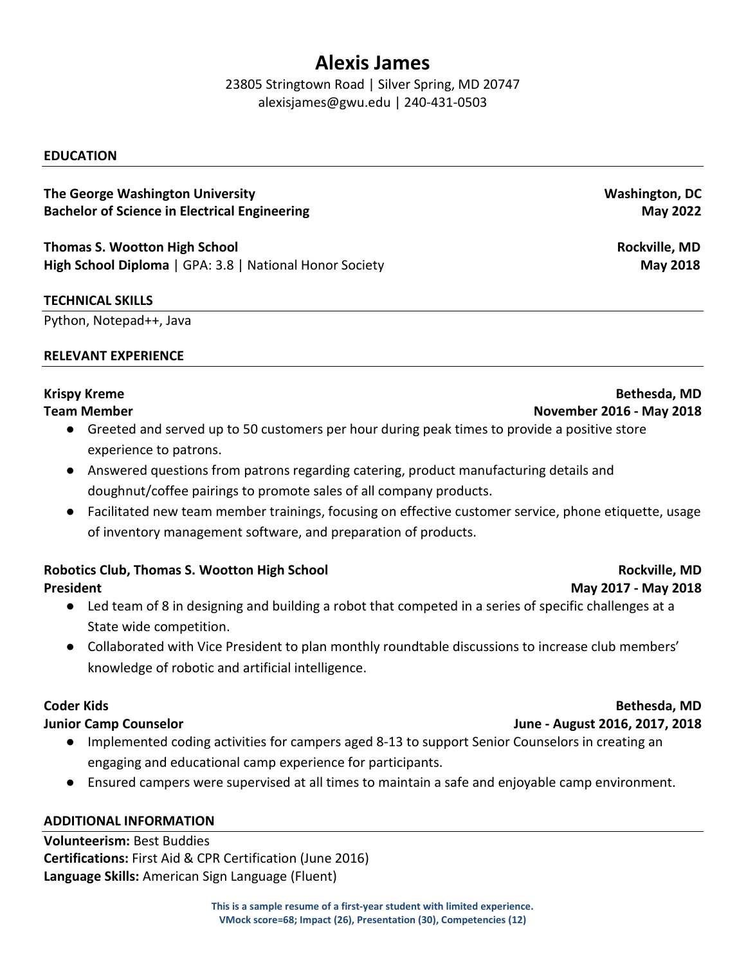# **Alexis James**

23805 Stringtown Road | Silver Spring, MD 20747 alexisjames@gwu.edu | 240-431-0503

# **EDUCATION**

# **The George Washington University Bachelor of Science in Electrical Engineering**

**Thomas S. Wootton High School High School Diploma** | GPA: 3.8 | National Honor Society

# **TECHNICAL SKILLS**

Python, Notepad++, Java

# **RELEVANT EXPERIENCE**

# **Krispy Kreme**

# **Team Member**

- Greeted and served up to 50 customers per hour during peak times to provide a positive store experience to patrons.
- Answered questions from patrons regarding catering, product manufacturing details and doughnut/coffee pairings to promote sales of all company products.
- Facilitated new team member trainings, focusing on effective customer service, phone etiquette, usage of inventory management software, and preparation of products.

# **Robotics Club, Thomas S. Wootton High School**

**President**

- Led team of 8 in designing and building a robot that competed in a series of specific challenges at a State wide competition.
- Collaborated with Vice President to plan monthly roundtable discussions to increase club members' knowledge of robotic and artificial intelligence.

# **Coder Kids**

# **Junior Camp Counselor**

- Implemented coding activities for campers aged 8-13 to support Senior Counselors in creating an engaging and educational camp experience for participants.
- Ensured campers were supervised at all times to maintain a safe and enjoyable camp environment.

# **ADDITIONAL INFORMATION**

**Volunteerism:** Best Buddies **Certifications:** First Aid & CPR Certification (June 2016) **Language Skills:** American Sign Language (Fluent)

# **Washington, DC May 2022**

**Rockville, MD May 2018**

# **Bethesda, MD November 2016 - May 2018**

# **Bethesda, MD**

**Rockville, MD**

**May 2017 - May 2018**

**June - August 2016, 2017, 2018**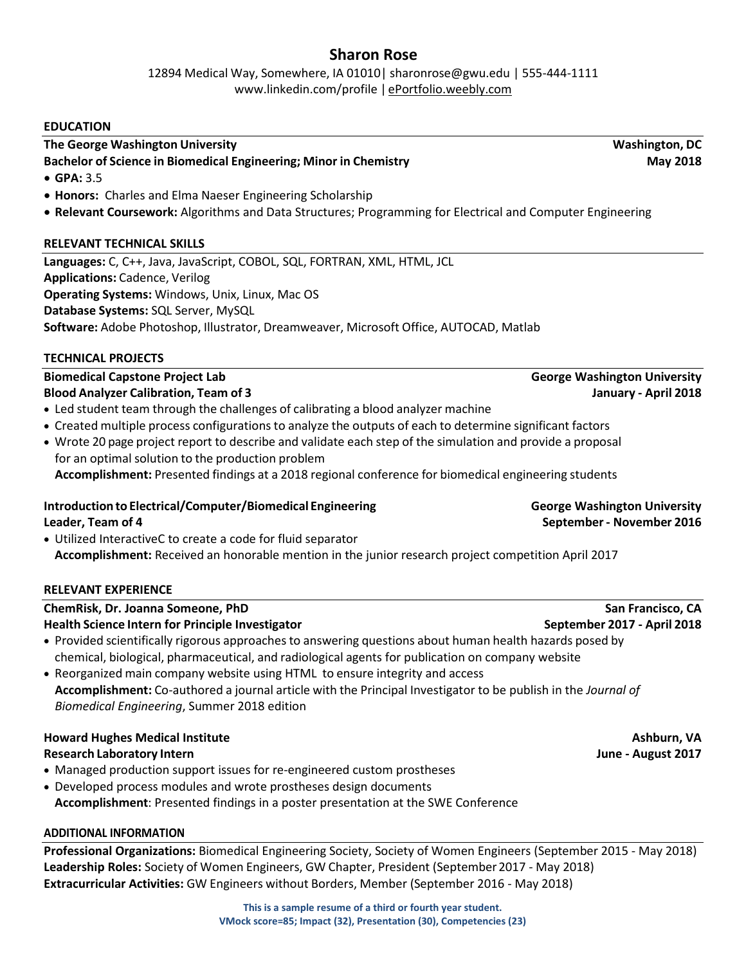# **Sharon Rose**

12894 Medical Way, Somewhere, IA 01010| sharonrose@gwu.edu | 555-444-1111 [www.linkedin.com/profile](http://www.linkedin.com/profile) | [ePortfolio.weebly.com](mailto:ePortfolio@weeply.com)

#### **EDUCATION**

# **The George Washington University Washington, DC**

# **Bachelor of Science in Biomedical Engineering; Minor in Chemistry May 2018**

- **GPA:** 3.5
- **Honors:** Charles and Elma Naeser Engineering Scholarship
- **Relevant Coursework:** Algorithms and Data Structures; Programming for Electrical and Computer Engineering

# **RELEVANT TECHNICAL SKILLS**

**Languages:** C, C++, Java, JavaScript, COBOL, SQL, FORTRAN, XML, HTML, JCL **Applications:** Cadence, Verilog **Operating Systems:** Windows, Unix, Linux, Mac OS **Database Systems:** SQL Server, MySQL **Software:** Adobe Photoshop, Illustrator, Dreamweaver, Microsoft Office, AUTOCAD, Matlab

# **TECHNICAL PROJECTS**

#### **Biomedical Capstone Project Lab George Washington University Blood Analyzer Calibration, Team of 3 January - April 2018**

- Led student team through the challenges of calibrating a blood analyzer machine
- Created multiple process configurations to analyze the outputs of each to determine significant factors
- Wrote 20 page project report to describe and validate each step of the simulation and provide a proposal for an optimal solution to the production problem

**Accomplishment:** Presented findings at a 2018 regional conference for biomedical engineering students

# **Introduction to Electrical/Computer/Biomedical Engineering George Washington University**

• Utilized InteractiveC to create a code for fluid separator **Accomplishment:** Received an honorable mention in the junior research project competition April 2017

#### **RELEVANT EXPERIENCE**

| ChemRisk, Dr. Joanna Someone, PhD                                                                                                                                                                                                                                                            | San Francisco, CA           |  |  |  |  |
|----------------------------------------------------------------------------------------------------------------------------------------------------------------------------------------------------------------------------------------------------------------------------------------------|-----------------------------|--|--|--|--|
| <b>Health Science Intern for Principle Investigator</b>                                                                                                                                                                                                                                      | September 2017 - April 2018 |  |  |  |  |
| • Provided scientifically rigorous approaches to answering questions about human health hazards posed by<br>chemical, biological, pharmaceutical, and radiological agents for publication on company website<br>• Reorganized main company website using HTML to ensure integrity and access |                             |  |  |  |  |
| Accomplishment: Co-authored a journal article with the Principal Investigator to be publish in the Journal of                                                                                                                                                                                |                             |  |  |  |  |

*Biomedical Engineering*, Summer 2018 edition

#### **Howard Hughes Medical Institute Ashburn, VA** Ashburn, VA **Research Laboratory Intern June - August 2017**

- Managed production support issues for re-engineered custom prostheses
- Developed process modules and wrote prostheses design documents
- **Accomplishment**: Presented findings in a poster presentation at the SWE Conference

# **ADDITIONAL INFORMATION**

**Professional Organizations:** Biomedical Engineering Society, Society of Women Engineers (September 2015 - May 2018) **Leadership Roles:** Society of Women Engineers, GW Chapter, President (September2017 - May 2018) **Extracurricular Activities:** GW Engineers without Borders, Member (September 2016 - May 2018)

> **This is a sample resume of a third or fourth year student. VMock score=85; Impact (32), Presentation (30), Competencies (23)**

**Leader, Team of 4 September- November 2016**